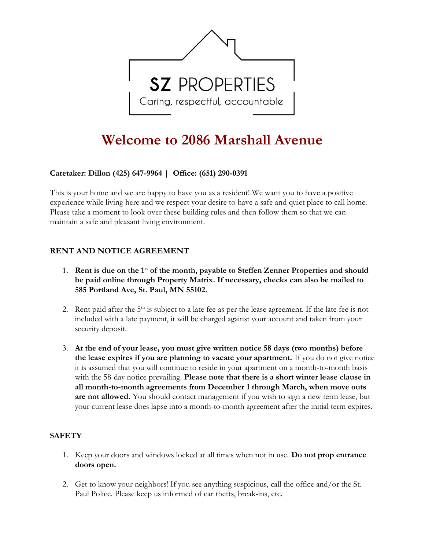

# Welcome to 2086 Marshall Avenue

# Caretaker: **Dillon (425) 647-9964** | Office: **(**651**)** 290-0391

This is your home and we are happy to have you as a resident! We want you to have a positive experience while living here and we respect your desire to have a safe and quiet place to call home. Please take a moment to look over these building rules and then follow them so that we can maintain a safe and pleasant living environment.

# RENT AND NOTICE AGREEMENT

- 1. Rent is due on the  $1<sup>st</sup>$  of the month, payable to Steffen Zenner Properties and should be paid online through Property Matrix. If necessary, checks can also be mailed to 585 Portland Ave, St. Paul, MN 55102.
- 2. Rent paid after the 5<sup>th</sup> is subject to a late fee as per the lease agreement. If the late fee is not included with a late payment, it will be charged against your account and taken from your security deposit.
- 3. At the end of your lease, you must give written notice 58 days (two months) before the lease expires if you are planning to vacate your apartment. If you do not give notice it is assumed that you will continue to reside in your apartment on a month-to-month basis with the 58-day notice prevailing. Please note that there is a short winter lease clause in all month-to-month agreements from December 1 through March, when move outs are not allowed. You should contact management if you wish to sign a new term lease, but your current lease does lapse into a month-to-month agreement after the initial term expires.

# **SAFETY**

- 1. Keep your doors and windows locked at all times when not in use. Do not prop entrance doors open.
- 2. Get to know your neighbors! If you see anything suspicious, call the office and/or the St. Paul Police. Please keep us informed of car thefts, break-ins, etc.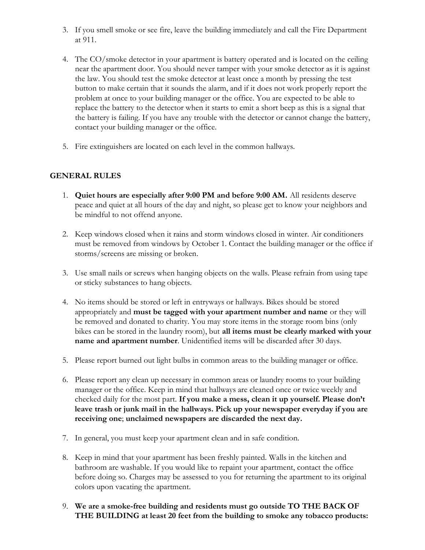- 3. If you smell smoke or see fire, leave the building immediately and call the Fire Department at 911.
- 4. The CO/smoke detector in your apartment is battery operated and is located on the ceiling near the apartment door. You should never tamper with your smoke detector as it is against the law. You should test the smoke detector at least once a month by pressing the test button to make certain that it sounds the alarm, and if it does not work properly report the problem at once to your building manager or the office. You are expected to be able to replace the battery to the detector when it starts to emit a short beep as this is a signal that the battery is failing. If you have any trouble with the detector or cannot change the battery, contact your building manager or the office.
- 5. Fire extinguishers are located on each level in the common hallways.

# GENERAL RULES

- 1. Quiet hours are especially after 9:00 PM and before 9:00 AM. All residents deserve peace and quiet at all hours of the day and night, so please get to know your neighbors and be mindful to not offend anyone.
- 2. Keep windows closed when it rains and storm windows closed in winter. Air conditioners must be removed from windows by October 1. Contact the building manager or the office if storms/screens are missing or broken.
- 3. Use small nails or screws when hanging objects on the walls. Please refrain from using tape or sticky substances to hang objects.
- 4. No items should be stored or left in entryways or hallways. Bikes should be stored appropriately and must be tagged with your apartment number and name or they will be removed and donated to charity. You may store items in the storage room bins (only bikes can be stored in the laundry room), but all items must be clearly marked with your name and apartment number. Unidentified items will be discarded after 30 days.
- 5. Please report burned out light bulbs in common areas to the building manager or office.
- 6. Please report any clean up necessary in common areas or laundry rooms to your building manager or the office. Keep in mind that hallways are cleaned once or twice weekly and checked daily for the most part. If you make a mess, clean it up yourself. Please don't leave trash or junk mail in the hallways. Pick up your newspaper everyday if you are receiving one; unclaimed newspapers are discarded the next day.
- 7. In general, you must keep your apartment clean and in safe condition.
- 8. Keep in mind that your apartment has been freshly painted. Walls in the kitchen and bathroom are washable. If you would like to repaint your apartment, contact the office before doing so. Charges may be assessed to you for returning the apartment to its original colors upon vacating the apartment.
- 9. We are a smoke-free building and residents must go outside TO THE BACK OF THE BUILDING at least 20 feet from the building to smoke any tobacco products: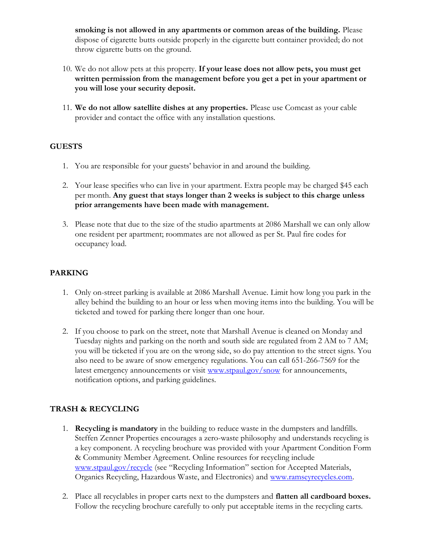smoking is not allowed in any apartments or common areas of the building. Please dispose of cigarette butts outside properly in the cigarette butt container provided; do not throw cigarette butts on the ground.

- 10. We do not allow pets at this property. If your lease does not allow pets, you must get written permission from the management before you get a pet in your apartment or you will lose your security deposit.
- 11. We do not allow satellite dishes at any properties. Please use Comcast as your cable provider and contact the office with any installation questions.

# **GUESTS**

- 1. You are responsible for your guests' behavior in and around the building.
- 2. Your lease specifies who can live in your apartment. Extra people may be charged \$45 each per month. Any guest that stays longer than 2 weeks is subject to this charge unless prior arrangements have been made with management.
- 3. Please note that due to the size of the studio apartments at 2086 Marshall we can only allow one resident per apartment; roommates are not allowed as per St. Paul fire codes for occupancy load.

# PARKING

- 1. Only on-street parking is available at 2086 Marshall Avenue. Limit how long you park in the alley behind the building to an hour or less when moving items into the building. You will be ticketed and towed for parking there longer than one hour.
- 2. If you choose to park on the street, note that Marshall Avenue is cleaned on Monday and Tuesday nights and parking on the north and south side are regulated from 2 AM to 7 AM; you will be ticketed if you are on the wrong side, so do pay attention to the street signs. You also need to be aware of snow emergency regulations. You can call 651-266-7569 for the latest emergency announcements or visit www.stpaul.gov/snow for announcements, notification options, and parking guidelines.

# TRASH & RECYCLING

- 1. **Recycling is mandatory** in the building to reduce waste in the dumpsters and landfills. Steffen Zenner Properties encourages a zero-waste philosophy and understands recycling is a key component. A recycling brochure was provided with your Apartment Condition Form & Community Member Agreement. Online resources for recycling include www.stpaul.gov/recycle (see "Recycling Information" section for Accepted Materials, Organics Recycling, Hazardous Waste, and Electronics) and www.ramseyrecycles.com.
- 2. Place all recyclables in proper carts next to the dumpsters and **flatten all cardboard boxes.** Follow the recycling brochure carefully to only put acceptable items in the recycling carts.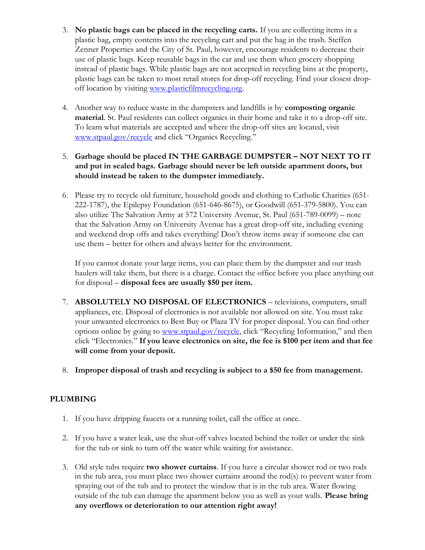- 3. No plastic bags can be placed in the recycling carts. If you are collecting items in a plastic bag, empty contents into the recycling cart and put the bag in the trash. Steffen Zenner Properties and the City of St. Paul, however, encourage residents to decrease their use of plastic bags. Keep reusable bags in the car and use them when grocery shopping instead of plastic bags. While plastic bags are not accepted in recycling bins at the property, plastic bags can be taken to most retail stores for drop-off recycling. Find your closest dropoff location by visiting www.plasticfilmrecycling.org.
- 4. Another way to reduce waste in the dumpsters and landfills is by **composting organic** material. St. Paul residents can collect organics in their home and take it to a drop-off site. To learn what materials are accepted and where the drop-off sites are located, visit www.stpaul.gov/recycle and click "Organics Recycling."

#### 5. Garbage should be placed IN THE GARBAGE DUMPSTER – NOT NEXT TO IT and put in sealed bags. Garbage should never be left outside apartment doors, but should instead be taken to the dumpster immediately.

6. Please try to recycle old furniture, household goods and clothing to Catholic Charities (651- 222-1787), the Epilepsy Foundation (651-646-8675), or Goodwill (651-379-5800). You can also utilize The Salvation Army at 572 University Avenue, St. Paul (651-789-0099) – note that the Salvation Army on University Avenue has a great drop-off site, including evening and weekend drop offs and takes everything! Don't throw items away if someone else can use them – better for others and always better for the environment.

If you cannot donate your large items, you can place them by the dumpster and our trash haulers will take them, but there is a charge. Contact the office before you place anything out for disposal – disposal fees are usually \$50 per item.

- 7. ABSOLUTELY NO DISPOSAL OF ELECTRONICS televisions, computers, small appliances, etc. Disposal of electronics is not available nor allowed on site. You must take your unwanted electronics to Best Buy or Plaza TV for proper disposal. You can find other options online by going to www.stpaul.gov/recycle, click "Recycling Information," and then click "Electronics." If you leave electronics on site, the fee is \$100 per item and that fee will come from your deposit.
- 8. Improper disposal of trash and recycling is subject to a \$50 fee from management.

# PLUMBING

- 1. If you have dripping faucets or a running toilet, call the office at once.
- 2. If you have a water leak, use the shut-off valves located behind the toilet or under the sink for the tub or sink to turn off the water while waiting for assistance.
- 3. Old style tubs require two shower curtains. If you have a circular shower rod or two rods in the tub area, you must place two shower curtains around the rod(s) to prevent water from spraying out of the tub and to protect the window that is in the tub area. Water flowing outside of the tub can damage the apartment below you as well as your walls. **Please bring** any overflows or deterioration to our attention right away!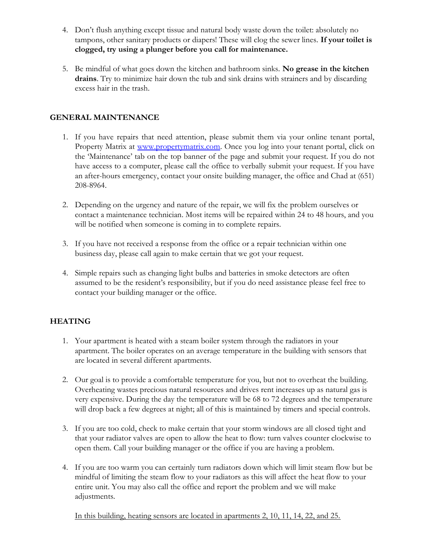- 4. Don't flush anything except tissue and natural body waste down the toilet: absolutely no tampons, other sanitary products or diapers! These will clog the sewer lines. If your toilet is clogged, try using a plunger before you call for maintenance.
- 5. Be mindful of what goes down the kitchen and bathroom sinks. No grease in the kitchen drains. Try to minimize hair down the tub and sink drains with strainers and by discarding excess hair in the trash.

# GENERAL MAINTENANCE

- 1. If you have repairs that need attention, please submit them via your online tenant portal, Property Matrix at www.propertymatrix.com. Once you log into your tenant portal, click on the 'Maintenance' tab on the top banner of the page and submit your request. If you do not have access to a computer, please call the office to verbally submit your request. If you have an after-hours emergency, contact your onsite building manager, the office and Chad at (651) 208-8964.
- 2. Depending on the urgency and nature of the repair, we will fix the problem ourselves or contact a maintenance technician. Most items will be repaired within 24 to 48 hours, and you will be notified when someone is coming in to complete repairs.
- 3. If you have not received a response from the office or a repair technician within one business day, please call again to make certain that we got your request.
- 4. Simple repairs such as changing light bulbs and batteries in smoke detectors are often assumed to be the resident's responsibility, but if you do need assistance please feel free to contact your building manager or the office.

# **HEATING**

- 1. Your apartment is heated with a steam boiler system through the radiators in your apartment. The boiler operates on an average temperature in the building with sensors that are located in several different apartments.
- 2. Our goal is to provide a comfortable temperature for you, but not to overheat the building. Overheating wastes precious natural resources and drives rent increases up as natural gas is very expensive. During the day the temperature will be 68 to 72 degrees and the temperature will drop back a few degrees at night; all of this is maintained by timers and special controls.
- 3. If you are too cold, check to make certain that your storm windows are all closed tight and that your radiator valves are open to allow the heat to flow: turn valves counter clockwise to open them. Call your building manager or the office if you are having a problem.
- 4. If you are too warm you can certainly turn radiators down which will limit steam flow but be mindful of limiting the steam flow to your radiators as this will affect the heat flow to your entire unit. You may also call the office and report the problem and we will make adjustments.

In this building, heating sensors are located in apartments 2, 10, 11, 14, 22, and 25.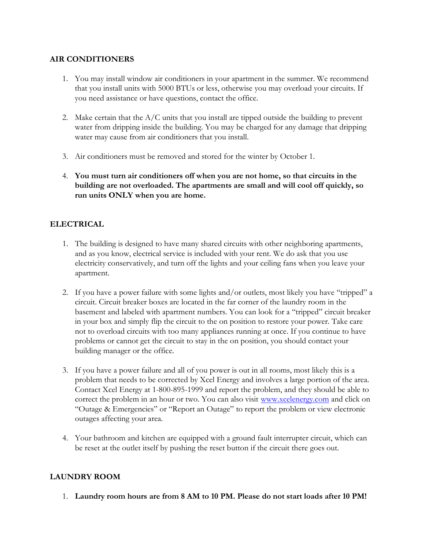# AIR CONDITIONERS

- 1. You may install window air conditioners in your apartment in the summer. We recommend that you install units with 5000 BTUs or less, otherwise you may overload your circuits. If you need assistance or have questions, contact the office.
- 2. Make certain that the  $A/C$  units that you install are tipped outside the building to prevent water from dripping inside the building. You may be charged for any damage that dripping water may cause from air conditioners that you install.
- 3. Air conditioners must be removed and stored for the winter by October 1.
- 4. You must turn air conditioners off when you are not home, so that circuits in the building are not overloaded. The apartments are small and will cool off quickly, so run units ONLY when you are home.

# ELECTRICAL

- 1. The building is designed to have many shared circuits with other neighboring apartments, and as you know, electrical service is included with your rent. We do ask that you use electricity conservatively, and turn off the lights and your ceiling fans when you leave your apartment.
- 2. If you have a power failure with some lights and/or outlets, most likely you have "tripped" a circuit. Circuit breaker boxes are located in the far corner of the laundry room in the basement and labeled with apartment numbers. You can look for a "tripped" circuit breaker in your box and simply flip the circuit to the on position to restore your power. Take care not to overload circuits with too many appliances running at once. If you continue to have problems or cannot get the circuit to stay in the on position, you should contact your building manager or the office.
- 3. If you have a power failure and all of you power is out in all rooms, most likely this is a problem that needs to be corrected by Xcel Energy and involves a large portion of the area. Contact Xcel Energy at 1-800-895-1999 and report the problem, and they should be able to correct the problem in an hour or two. You can also visit www.xcelenergy.com and click on "Outage & Emergencies" or "Report an Outage" to report the problem or view electronic outages affecting your area.
- 4. Your bathroom and kitchen are equipped with a ground fault interrupter circuit, which can be reset at the outlet itself by pushing the reset button if the circuit there goes out.

# LAUNDRY ROOM

1. Laundry room hours are from 8 AM to 10 PM. Please do not start loads after 10 PM!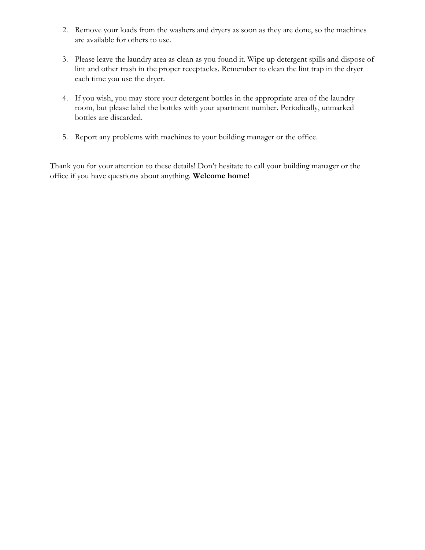- 2. Remove your loads from the washers and dryers as soon as they are done, so the machines are available for others to use.
- 3. Please leave the laundry area as clean as you found it. Wipe up detergent spills and dispose of lint and other trash in the proper receptacles. Remember to clean the lint trap in the dryer each time you use the dryer.
- 4. If you wish, you may store your detergent bottles in the appropriate area of the laundry room, but please label the bottles with your apartment number. Periodically, unmarked bottles are discarded.
- 5. Report any problems with machines to your building manager or the office.

Thank you for your attention to these details! Don't hesitate to call your building manager or the office if you have questions about anything. Welcome home!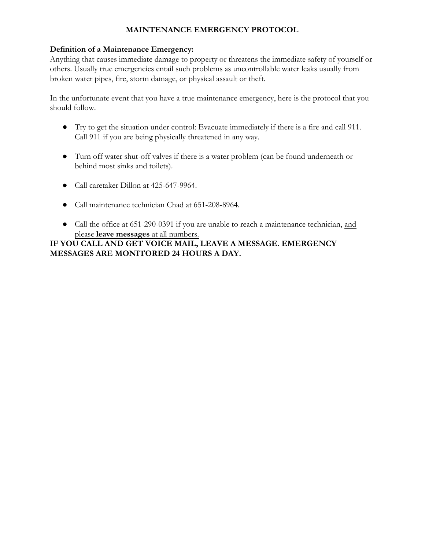# MAINTENANCE EMERGENCY PROTOCOL

# Definition of a Maintenance Emergency:

Anything that causes immediate damage to property or threatens the immediate safety of yourself or others. Usually true emergencies entail such problems as uncontrollable water leaks usually from broken water pipes, fire, storm damage, or physical assault or theft.

In the unfortunate event that you have a true maintenance emergency, here is the protocol that you should follow.

- Try to get the situation under control: Evacuate immediately if there is a fire and call 911. Call 911 if you are being physically threatened in any way.
- Turn off water shut-off valves if there is a water problem (can be found underneath or behind most sinks and toilets).
- Call caretaker Dillon at 425-647-9964.
- Call maintenance technician Chad at 651-208-8964.
- Call the office at 651-290-0391 if you are unable to reach a maintenance technician, and please leave messages at all numbers.

IF YOU CALL AND GET VOICE MAIL, LEAVE A MESSAGE. EMERGENCY MESSAGES ARE MONITORED 24 HOURS A DAY.